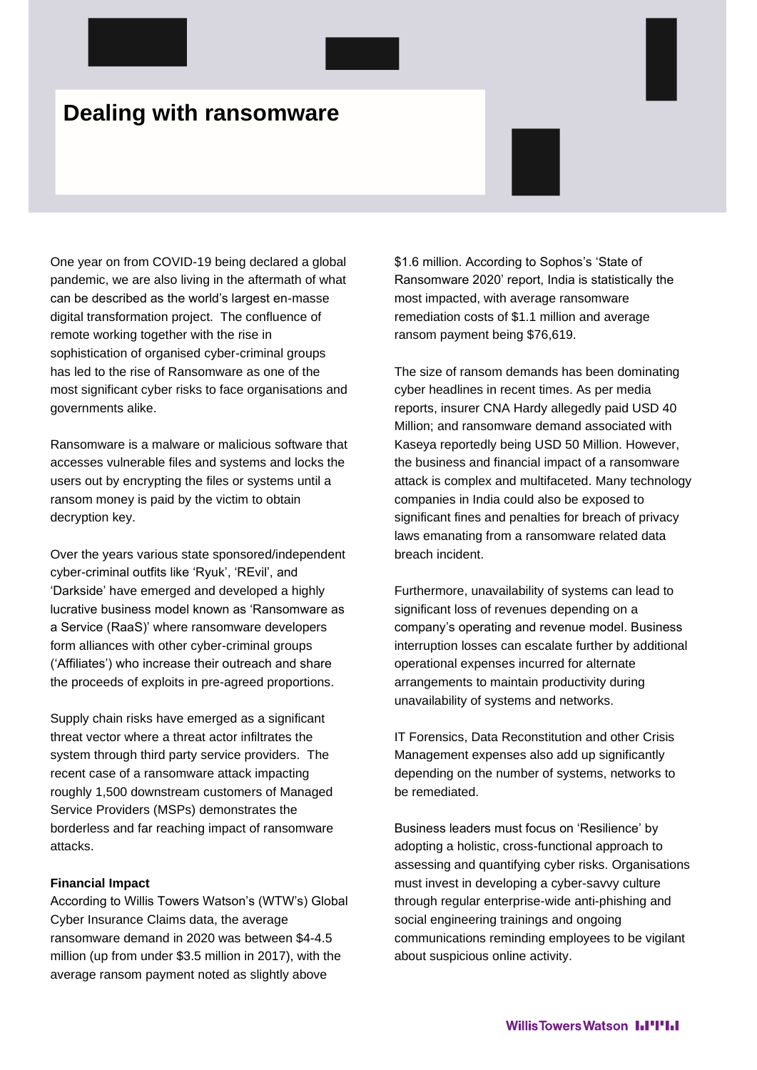## **Dealing with ransomware**

One year on from COVID-19 being declared a global pandemic, we are also living in the aftermath of what can be described as the world's largest en-masse digital transformation project. The confluence of remote working together with the rise in sophistication of organised cyber-criminal groups has led to the rise of Ransomware as one of the most significant cyber risks to face organisations and governments alike.

Ransomware is a malware or malicious software that accesses vulnerable files and systems and locks the users out by encrypting the files or systems until a ransom money is paid by the victim to obtain decryption key.

Over the years various state sponsored/independent cyber-criminal outfits like 'Ryuk', 'REvil', and 'Darkside' have emerged and developed a highly lucrative business model known as 'Ransomware as a Service (RaaS)' where ransomware developers form alliances with other cyber-criminal groups ('Affiliates') who increase their outreach and share the proceeds of exploits in pre-agreed proportions.

Supply chain risks have emerged as a significant threat vector where a threat actor infiltrates the system through third party service providers. The recent case of a ransomware attack impacting roughly 1,500 downstream customers of Managed Service Providers (MSPs) demonstrates the borderless and far reaching impact of ransomware attacks.

## **Financial Impact**

According to Willis Towers Watson's (WTW's) Global Cyber Insurance Claims data, the average ransomware demand in 2020 was between \$4-4.5 million (up from under \$3.5 million in 2017), with the average ransom payment noted as slightly above

\$1.6 million. According to Sophos's 'State of Ransomware 2020' report, India is statistically the most impacted, with average ransomware remediation costs of \$1.1 million and average ransom payment being \$76,619.

The size of ransom demands has been dominating cyber headlines in recent times. As per media reports, insurer CNA Hardy allegedly paid USD 40 Million; and ransomware demand associated with Kaseya reportedly being USD 50 Million. However, the business and financial impact of a ransomware attack is complex and multifaceted. Many technology companies in India could also be exposed to significant fines and penalties for breach of privacy laws emanating from a ransomware related data breach incident.

Furthermore, unavailability of systems can lead to significant loss of revenues depending on a company's operating and revenue model. Business interruption losses can escalate further by additional operational expenses incurred for alternate arrangements to maintain productivity during unavailability of systems and networks.

IT Forensics, Data Reconstitution and other Crisis Management expenses also add up significantly depending on the number of systems, networks to be remediated.

Business leaders must focus on 'Resilience' by adopting a holistic, cross-functional approach to assessing and quantifying cyber risks. Organisations must invest in developing a cyber-savvy culture through regular enterprise-wide anti-phishing and social engineering trainings and ongoing communications reminding employees to be vigilant about suspicious online activity.